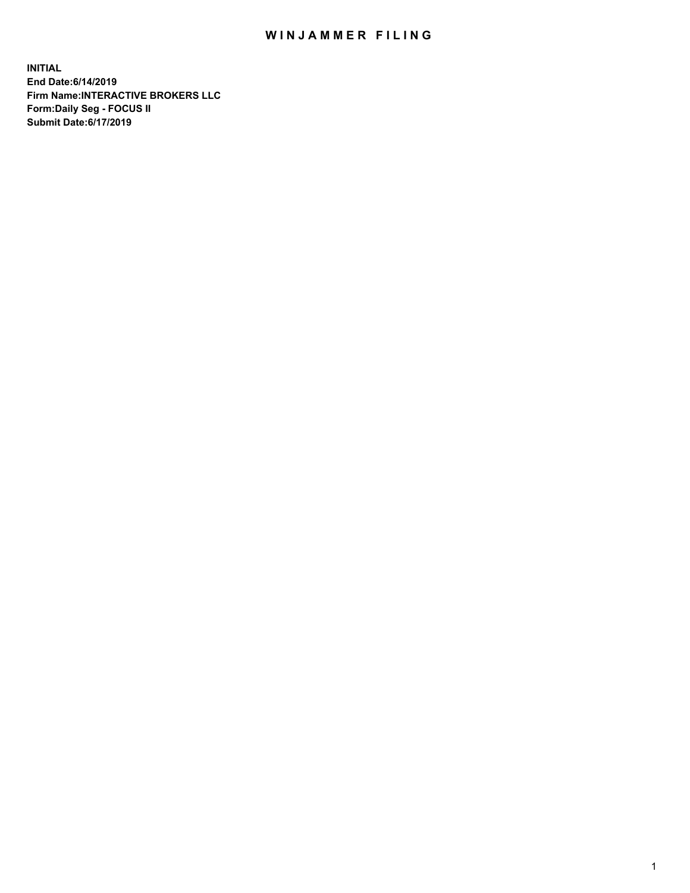## WIN JAMMER FILING

**INITIAL End Date:6/14/2019 Firm Name:INTERACTIVE BROKERS LLC Form:Daily Seg - FOCUS II Submit Date:6/17/2019**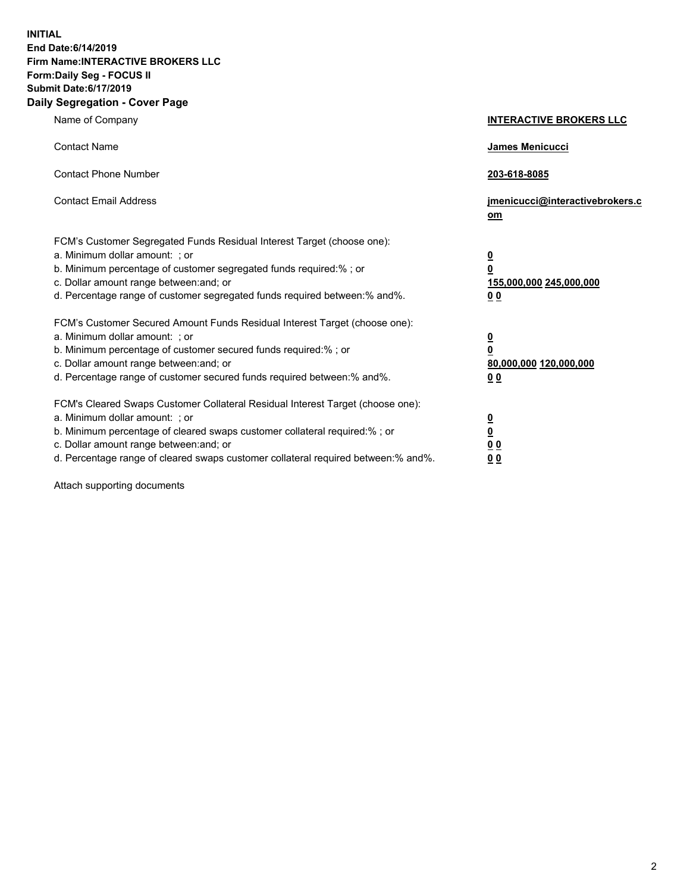**INITIAL End Date:6/14/2019 Firm Name:INTERACTIVE BROKERS LLC Form:Daily Seg - FOCUS II Submit Date:6/17/2019 Daily Segregation - Cover Page**

| Name of Company                                                                                                                                                                                                                                                                                                                | <b>INTERACTIVE BROKERS LLC</b>                                                                  |
|--------------------------------------------------------------------------------------------------------------------------------------------------------------------------------------------------------------------------------------------------------------------------------------------------------------------------------|-------------------------------------------------------------------------------------------------|
| <b>Contact Name</b>                                                                                                                                                                                                                                                                                                            | James Menicucci                                                                                 |
| <b>Contact Phone Number</b>                                                                                                                                                                                                                                                                                                    | 203-618-8085                                                                                    |
| <b>Contact Email Address</b>                                                                                                                                                                                                                                                                                                   | jmenicucci@interactivebrokers.c<br>om                                                           |
| FCM's Customer Segregated Funds Residual Interest Target (choose one):<br>a. Minimum dollar amount: ; or<br>b. Minimum percentage of customer segregated funds required:% ; or<br>c. Dollar amount range between: and; or<br>d. Percentage range of customer segregated funds required between:% and%.                         | $\overline{\mathbf{0}}$<br>$\overline{\mathbf{0}}$<br>155,000,000 245,000,000<br>0 <sub>0</sub> |
| FCM's Customer Secured Amount Funds Residual Interest Target (choose one):<br>a. Minimum dollar amount: ; or<br>b. Minimum percentage of customer secured funds required:% ; or<br>c. Dollar amount range between: and; or<br>d. Percentage range of customer secured funds required between:% and%.                           | $\overline{\mathbf{0}}$<br>0<br>80,000,000 120,000,000<br>0 <sub>0</sub>                        |
| FCM's Cleared Swaps Customer Collateral Residual Interest Target (choose one):<br>a. Minimum dollar amount: ; or<br>b. Minimum percentage of cleared swaps customer collateral required:% ; or<br>c. Dollar amount range between: and; or<br>d. Percentage range of cleared swaps customer collateral required between:% and%. | $\overline{\mathbf{0}}$<br><u>0</u><br>$\underline{0}$ $\underline{0}$<br>00                    |

Attach supporting documents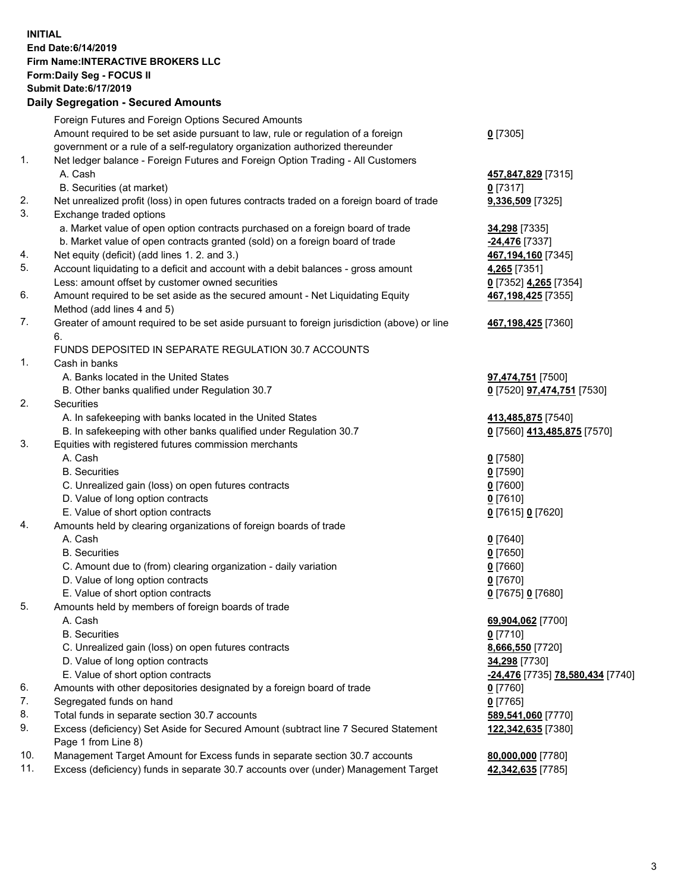## **INITIAL End Date:6/14/2019 Firm Name:INTERACTIVE BROKERS LLC Form:Daily Seg - FOCUS II Submit Date:6/17/2019 Daily Segregation - Secured Amounts**

|     | Daily Segregation - Secured Amounts                                                         |                                                |
|-----|---------------------------------------------------------------------------------------------|------------------------------------------------|
|     | Foreign Futures and Foreign Options Secured Amounts                                         |                                                |
|     | Amount required to be set aside pursuant to law, rule or regulation of a foreign            | $0$ [7305]                                     |
|     | government or a rule of a self-regulatory organization authorized thereunder                |                                                |
| 1.  | Net ledger balance - Foreign Futures and Foreign Option Trading - All Customers             |                                                |
|     | A. Cash                                                                                     | 457,847,829 [7315]                             |
|     | B. Securities (at market)                                                                   | $0$ [7317]                                     |
| 2.  | Net unrealized profit (loss) in open futures contracts traded on a foreign board of trade   | 9,336,509 [7325]                               |
| 3.  | Exchange traded options                                                                     |                                                |
|     | a. Market value of open option contracts purchased on a foreign board of trade              | 34,298 [7335]                                  |
|     | b. Market value of open contracts granted (sold) on a foreign board of trade                | -24,476 [7337]                                 |
| 4.  | Net equity (deficit) (add lines 1. 2. and 3.)                                               | 467,194,160 [7345]                             |
| 5.  | Account liquidating to a deficit and account with a debit balances - gross amount           | 4,265 [7351]                                   |
|     | Less: amount offset by customer owned securities                                            | 0 [7352] 4,265 [7354]                          |
| 6.  | Amount required to be set aside as the secured amount - Net Liquidating Equity              | 467, 198, 425 [7355]                           |
|     | Method (add lines 4 and 5)                                                                  |                                                |
| 7.  | Greater of amount required to be set aside pursuant to foreign jurisdiction (above) or line | 467,198,425 [7360]                             |
|     | 6.                                                                                          |                                                |
|     | FUNDS DEPOSITED IN SEPARATE REGULATION 30.7 ACCOUNTS                                        |                                                |
| 1.  | Cash in banks                                                                               |                                                |
|     | A. Banks located in the United States                                                       | <b>97,474,751</b> [7500]                       |
|     | B. Other banks qualified under Regulation 30.7                                              | 0 [7520] <b>97,474,751</b> [7530]              |
| 2.  | Securities                                                                                  |                                                |
|     | A. In safekeeping with banks located in the United States                                   | 413,485,875 [7540]                             |
| 3.  | B. In safekeeping with other banks qualified under Regulation 30.7                          | 0 [7560] 413,485,875 [7570]                    |
|     | Equities with registered futures commission merchants<br>A. Cash                            |                                                |
|     |                                                                                             | $0$ [7580]                                     |
|     | <b>B.</b> Securities                                                                        | $0$ [7590]                                     |
|     | C. Unrealized gain (loss) on open futures contracts<br>D. Value of long option contracts    | $0$ [7600]<br>$0$ [7610]                       |
|     | E. Value of short option contracts                                                          | 0 [7615] 0 [7620]                              |
| 4.  | Amounts held by clearing organizations of foreign boards of trade                           |                                                |
|     | A. Cash                                                                                     | $0$ [7640]                                     |
|     | <b>B.</b> Securities                                                                        | $0$ [7650]                                     |
|     | C. Amount due to (from) clearing organization - daily variation                             | $0$ [7660]                                     |
|     | D. Value of long option contracts                                                           | $0$ [7670]                                     |
|     | E. Value of short option contracts                                                          | 0 [7675] 0 [7680]                              |
| 5.  | Amounts held by members of foreign boards of trade                                          |                                                |
|     | A. Cash                                                                                     | 69,904,062 [7700]                              |
|     | <b>B.</b> Securities                                                                        | $0$ [7710]                                     |
|     | C. Unrealized gain (loss) on open futures contracts                                         | 8,666,550 [7720]                               |
|     | D. Value of long option contracts                                                           | 34,298 [7730]                                  |
|     | E. Value of short option contracts                                                          | <u>-24,476</u> [7735] <u>78,580,434</u> [7740] |
| 6.  | Amounts with other depositories designated by a foreign board of trade                      | $0$ [7760]                                     |
| 7.  | Segregated funds on hand                                                                    | $0$ [7765]                                     |
| 8.  | Total funds in separate section 30.7 accounts                                               | 589,541,060 [7770]                             |
| 9.  | Excess (deficiency) Set Aside for Secured Amount (subtract line 7 Secured Statement         | 122,342,635 [7380]                             |
|     | Page 1 from Line 8)                                                                         |                                                |
| 10. | Management Target Amount for Excess funds in separate section 30.7 accounts                 | 80,000,000 [7780]                              |
| 11. | Excess (deficiency) funds in separate 30.7 accounts over (under) Management Target          | 42,342,635 [7785]                              |
|     |                                                                                             |                                                |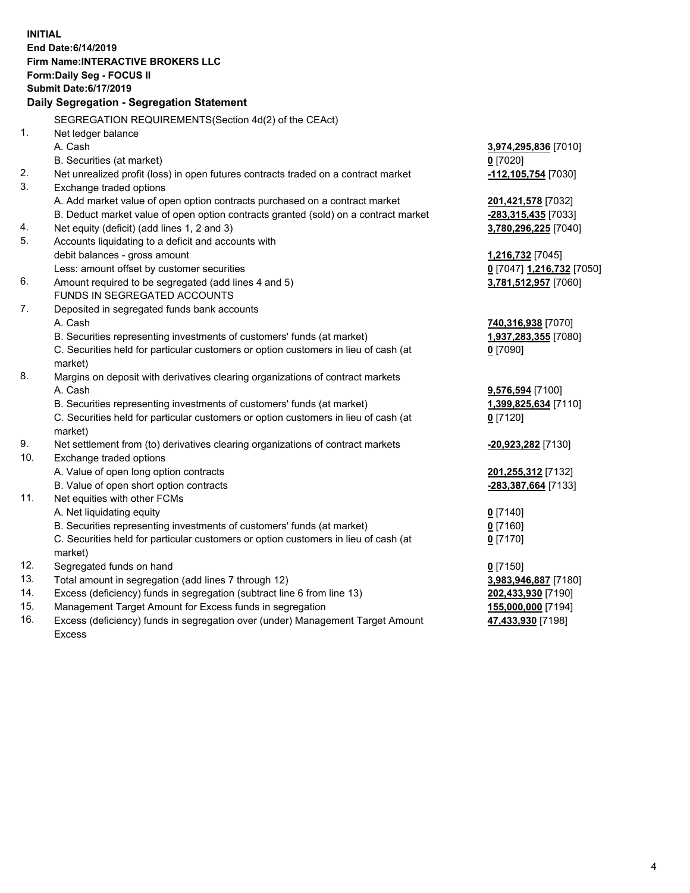**INITIAL End Date:6/14/2019 Firm Name:INTERACTIVE BROKERS LLC Form:Daily Seg - FOCUS II Submit Date:6/17/2019 Daily Segregation - Segregation Statement** SEGREGATION REQUIREMENTS(Section 4d(2) of the CEAct) 1. Net ledger balance A. Cash **3,974,295,836** [7010] B. Securities (at market) **0** [7020] 2. Net unrealized profit (loss) in open futures contracts traded on a contract market **-112,105,754** [7030] 3. Exchange traded options A. Add market value of open option contracts purchased on a contract market **201,421,578** [7032] B. Deduct market value of open option contracts granted (sold) on a contract market **-283,315,435** [7033] 4. Net equity (deficit) (add lines 1, 2 and 3) **3,780,296,225** [7040] 5. Accounts liquidating to a deficit and accounts with debit balances - gross amount **1,216,732** [7045] Less: amount offset by customer securities **0** [7047] **1,216,732** [7050] 6. Amount required to be segregated (add lines 4 and 5) **3,781,512,957** [7060] FUNDS IN SEGREGATED ACCOUNTS 7. Deposited in segregated funds bank accounts A. Cash **740,316,938** [7070] B. Securities representing investments of customers' funds (at market) **1,937,283,355** [7080] C. Securities held for particular customers or option customers in lieu of cash (at market) **0** [7090] 8. Margins on deposit with derivatives clearing organizations of contract markets A. Cash **9,576,594** [7100] B. Securities representing investments of customers' funds (at market) **1,399,825,634** [7110] C. Securities held for particular customers or option customers in lieu of cash (at market) **0** [7120] 9. Net settlement from (to) derivatives clearing organizations of contract markets **-20,923,282** [7130] 10. Exchange traded options A. Value of open long option contracts **201,255,312** [7132] B. Value of open short option contracts **-283,387,664** [7133] 11. Net equities with other FCMs A. Net liquidating equity **0** [7140] B. Securities representing investments of customers' funds (at market) **0** [7160] C. Securities held for particular customers or option customers in lieu of cash (at market) **0** [7170] 12. Segregated funds on hand **0** [7150] 13. Total amount in segregation (add lines 7 through 12) **3,983,946,887** [7180] 14. Excess (deficiency) funds in segregation (subtract line 6 from line 13) **202,433,930** [7190] 15. Management Target Amount for Excess funds in segregation **155,000,000** [7194]

16. Excess (deficiency) funds in segregation over (under) Management Target Amount Excess

**47,433,930** [7198]